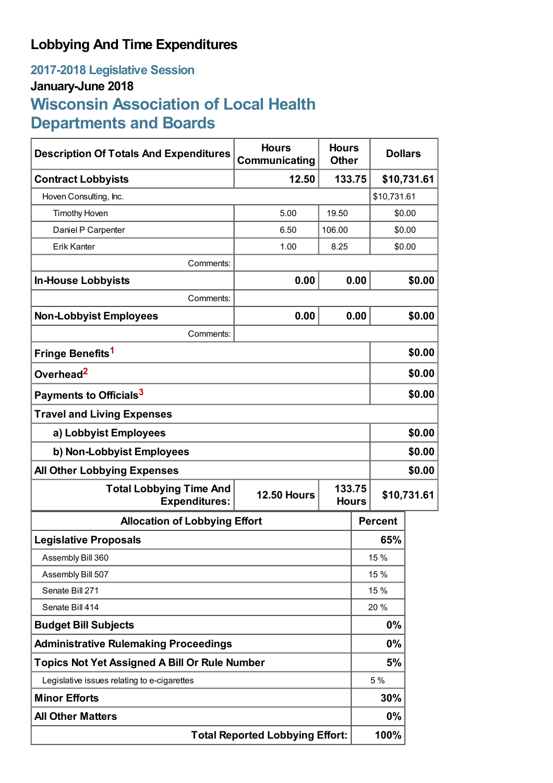## **Lobbying And Time Expenditures**

## **2017-2018 Legislative Session January-June 2018 Wisconsin Association of Local Health Departments and Boards**

| <b>Description Of Totals And Expenditures</b>          | <b>Hours</b><br><b>Hours</b><br>Communicating<br><b>Other</b> |                        |        | <b>Dollars</b> |        |
|--------------------------------------------------------|---------------------------------------------------------------|------------------------|--------|----------------|--------|
| <b>Contract Lobbyists</b>                              | 133.75<br>12.50                                               |                        |        | \$10,731.61    |        |
| Hoven Consulting, Inc.                                 |                                                               |                        |        | \$10,731.61    |        |
| <b>Timothy Hoven</b>                                   | 5.00                                                          | 19.50                  |        | \$0.00         |        |
| Daniel P Carpenter                                     | 6.50                                                          | 106.00                 |        | \$0.00         |        |
| <b>Erik Kanter</b>                                     | 1.00                                                          | 8.25                   | \$0.00 |                |        |
| Comments:                                              |                                                               |                        |        |                |        |
| <b>In-House Lobbyists</b>                              | 0.00                                                          |                        | 0.00   | \$0.00         |        |
| Comments:                                              |                                                               |                        |        |                |        |
| <b>Non-Lobbyist Employees</b>                          | 0.00                                                          |                        | 0.00   |                | \$0.00 |
| Comments:                                              |                                                               |                        |        |                |        |
| Fringe Benefits <sup>1</sup>                           |                                                               |                        | \$0.00 |                |        |
| Overhead <sup>2</sup>                                  |                                                               |                        |        | \$0.00         |        |
| Payments to Officials <sup>3</sup>                     |                                                               |                        |        |                | \$0.00 |
| <b>Travel and Living Expenses</b>                      |                                                               |                        |        |                |        |
| a) Lobbyist Employees                                  |                                                               |                        |        |                | \$0.00 |
| b) Non-Lobbyist Employees                              |                                                               |                        |        | \$0.00         |        |
| <b>All Other Lobbying Expenses</b>                     |                                                               |                        |        |                | \$0.00 |
| <b>Total Lobbying Time And</b><br><b>Expenditures:</b> | <b>12.50 Hours</b>                                            | 133.75<br><b>Hours</b> |        | \$10,731.61    |        |
| <b>Allocation of Lobbying Effort</b>                   |                                                               |                        |        | <b>Percent</b> |        |
| <b>Legislative Proposals</b>                           |                                                               |                        |        | 65%            |        |
| Assembly Bill 360                                      |                                                               |                        | 15 %   |                |        |
| Assembly Bill 507                                      |                                                               |                        | 15 %   |                |        |
| Senate Bill 271                                        |                                                               |                        | 15 %   |                |        |
| Senate Bill 414                                        |                                                               |                        | 20 %   |                |        |
| <b>Budget Bill Subjects</b>                            |                                                               |                        | 0%     |                |        |
| <b>Administrative Rulemaking Proceedings</b>           |                                                               |                        | 0%     |                |        |
| <b>Topics Not Yet Assigned A Bill Or Rule Number</b>   |                                                               |                        |        | 5%             |        |
| Legislative issues relating to e-cigarettes            |                                                               |                        |        | 5 %            |        |
| <b>Minor Efforts</b>                                   |                                                               |                        | 30%    |                |        |
| <b>All Other Matters</b>                               |                                                               |                        | 0%     |                |        |
| <b>Total Reported Lobbying Effort:</b>                 |                                                               |                        |        | 100%           |        |